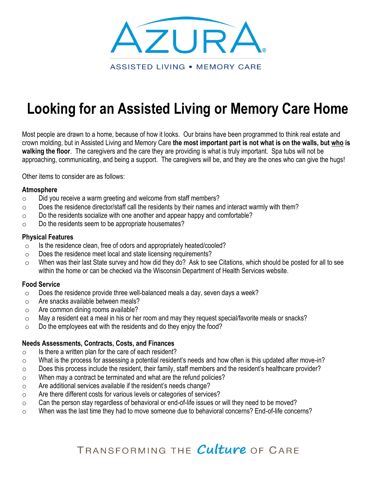

# **Looking for an Assisted Living or Memory Care Home**

Most people are drawn to a home, because of how it looks. Our brains have been programmed to think real estate and crown molding, but in Assisted Living and Memory Care **the most important part is not what is on the walls, but who is walking the floor**. The caregivers and the care they are providing is what is truly important. Spa tubs will not be approaching, communicating, and being a support. The caregivers will be, and they are the ones who can give the hugs!

Other items to consider are as follows:

### **Atmosphere**

- o Did you receive a warm greeting and welcome from staff members?
- $\circ$  Does the residence director/staff call the residents by their names and interact warmly with them?
- $\circ$  Do the residents socialize with one another and appear happy and comfortable?
- $\circ$  Do the residents seem to be appropriate housemates?

### **Physical Features**

- $\circ$  Is the residence clean, free of odors and appropriately heated/cooled?
- o Does the residence meet local and state licensing requirements?
- o When was their last State survey and how did they do? Ask to see Citations, which should be posted for all to see within the home or can be checked via the Wisconsin Department of Health Services website.

## **Food Service**

- $\circ$  Does the residence provide three well-balanced meals a day, seven days a week?
- o Are snacks available between meals?
- o Are common dining rooms available?
- $\circ$  May a resident eat a meal in his or her room and may they request special/favorite meals or snacks?
- $\circ$  Do the employees eat with the residents and do they enjoy the food?

## **Needs Assessments, Contracts, Costs, and Finances**

- $\circ$  Is there a written plan for the care of each resident?
- o What is the process for assessing a potential resident's needs and how often is this updated after move-in?
- $\circ$  Does this process include the resident, their family, staff members and the resident's healthcare provider?
- $\circ$  When may a contract be terminated and what are the refund policies?
- $\circ$  Are additional services available if the resident's needs change?
- o Are there different costs for various levels or categories of services?
- $\circ$  Can the person stay regardless of behavioral or end-of-life issues or will they need to be moved?
- $\circ$  When was the last time they had to move someone due to behavioral concerns? End-of-life concerns?

TRANSFORMING THE Culture OF CARE